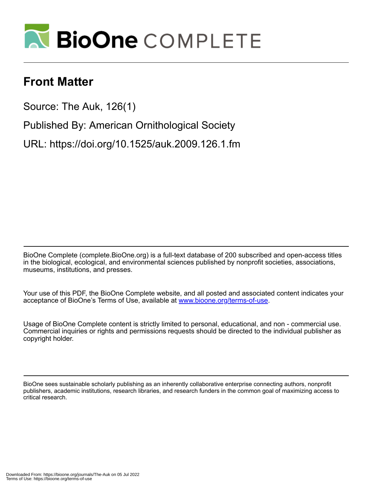

# **Front Matter**

Source: The Auk, 126(1)

Published By: American Ornithological Society

URL: https://doi.org/10.1525/auk.2009.126.1.fm

BioOne Complete (complete.BioOne.org) is a full-text database of 200 subscribed and open-access titles in the biological, ecological, and environmental sciences published by nonprofit societies, associations, museums, institutions, and presses.

Your use of this PDF, the BioOne Complete website, and all posted and associated content indicates your acceptance of BioOne's Terms of Use, available at www.bioone.org/terms-of-use.

Usage of BioOne Complete content is strictly limited to personal, educational, and non - commercial use. Commercial inquiries or rights and permissions requests should be directed to the individual publisher as copyright holder.

BioOne sees sustainable scholarly publishing as an inherently collaborative enterprise connecting authors, nonprofit publishers, academic institutions, research libraries, and research funders in the common goal of maximizing access to critical research.